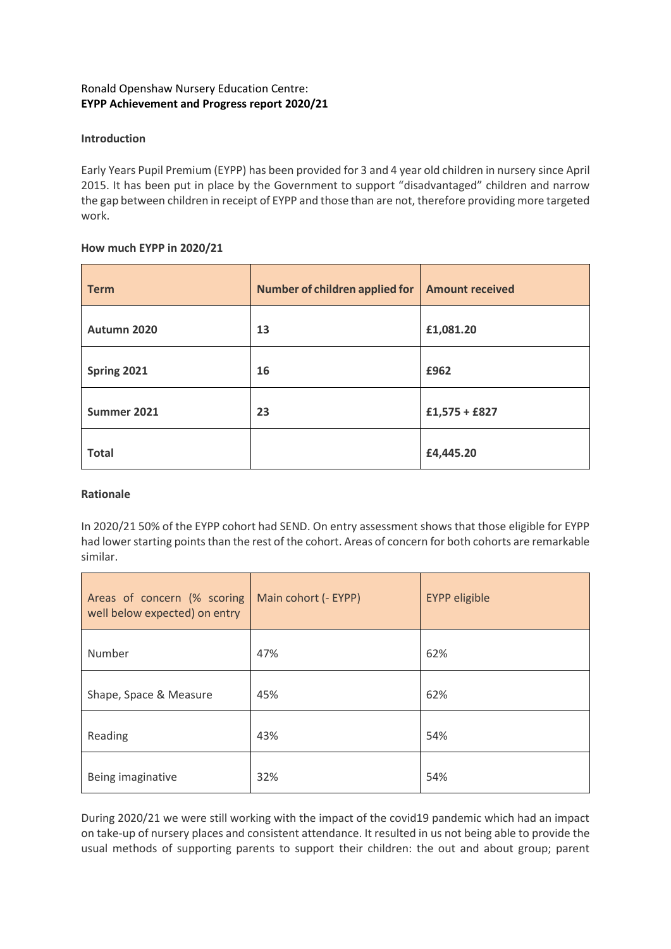# Ronald Openshaw Nursery Education Centre: **EYPP Achievement and Progress report 2020/21**

## **Introduction**

Early Years Pupil Premium (EYPP) has been provided for 3 and 4 year old children in nursery since April 2015. It has been put in place by the Government to support "disadvantaged" children and narrow the gap between children in receipt of EYPP and those than are not, therefore providing more targeted work.

### **How much EYPP in 2020/21**

| <b>Term</b>  | Number of children applied for | <b>Amount received</b> |  |  |
|--------------|--------------------------------|------------------------|--|--|
| Autumn 2020  | 13                             | £1,081.20              |  |  |
| Spring 2021  | 16                             | £962                   |  |  |
| Summer 2021  | 23                             | $£1,575 + £827$        |  |  |
| <b>Total</b> |                                | £4,445.20              |  |  |

### **Rationale**

In 2020/21 50% of the EYPP cohort had SEND. On entry assessment shows that those eligible for EYPP had lower starting points than the rest of the cohort. Areas of concern for both cohorts are remarkable similar.

| Areas of concern (% scoring<br>well below expected) on entry | Main cohort (- EYPP) | <b>EYPP</b> eligible |  |
|--------------------------------------------------------------|----------------------|----------------------|--|
| Number                                                       | 47%                  | 62%                  |  |
| Shape, Space & Measure                                       | 45%                  | 62%                  |  |
| Reading                                                      | 43%                  | 54%                  |  |
| Being imaginative                                            | 32%                  | 54%                  |  |

During 2020/21 we were still working with the impact of the covid19 pandemic which had an impact on take-up of nursery places and consistent attendance. It resulted in us not being able to provide the usual methods of supporting parents to support their children: the out and about group; parent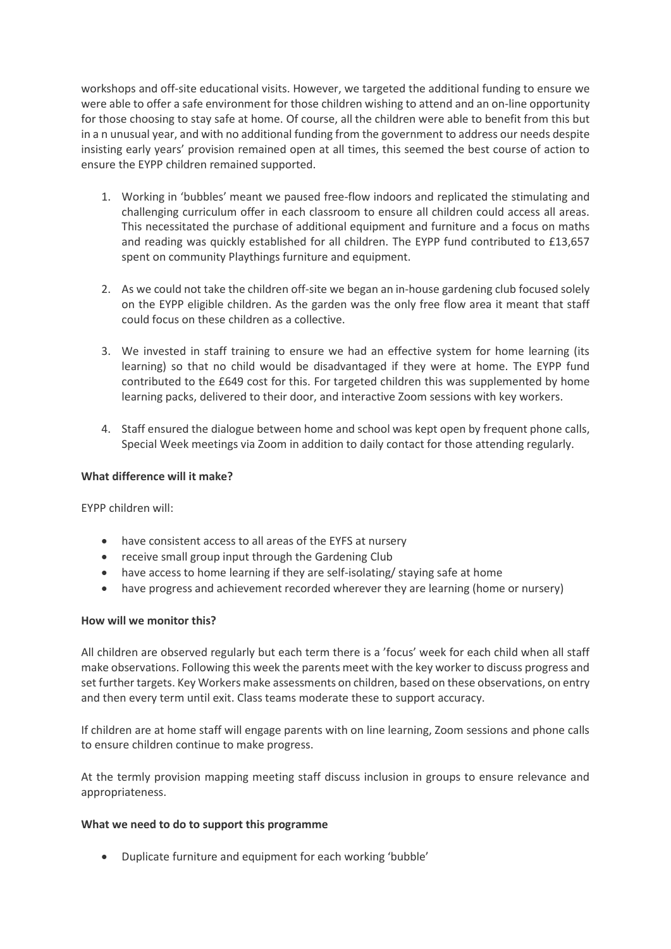workshops and off-site educational visits. However, we targeted the additional funding to ensure we were able to offer a safe environment for those children wishing to attend and an on-line opportunity for those choosing to stay safe at home. Of course, all the children were able to benefit from this but in a n unusual year, and with no additional funding from the government to address our needs despite insisting early years' provision remained open at all times, this seemed the best course of action to ensure the EYPP children remained supported.

- 1. Working in 'bubbles' meant we paused free-flow indoors and replicated the stimulating and challenging curriculum offer in each classroom to ensure all children could access all areas. This necessitated the purchase of additional equipment and furniture and a focus on maths and reading was quickly established for all children. The EYPP fund contributed to £13,657 spent on community Playthings furniture and equipment.
- 2. As we could not take the children off-site we began an in-house gardening club focused solely on the EYPP eligible children. As the garden was the only free flow area it meant that staff could focus on these children as a collective.
- 3. We invested in staff training to ensure we had an effective system for home learning (its learning) so that no child would be disadvantaged if they were at home. The EYPP fund contributed to the £649 cost for this. For targeted children this was supplemented by home learning packs, delivered to their door, and interactive Zoom sessions with key workers.
- 4. Staff ensured the dialogue between home and school was kept open by frequent phone calls, Special Week meetings via Zoom in addition to daily contact for those attending regularly.

### **What difference will it make?**

EYPP children will:

- have consistent access to all areas of the EYFS at nursery
- receive small group input through the Gardening Club
- have access to home learning if they are self-isolating/ staying safe at home
- have progress and achievement recorded wherever they are learning (home or nursery)

### **How will we monitor this?**

All children are observed regularly but each term there is a 'focus' week for each child when all staff make observations. Following this week the parents meet with the key worker to discuss progress and set further targets. Key Workers make assessments on children, based on these observations, on entry and then every term until exit. Class teams moderate these to support accuracy.

If children are at home staff will engage parents with on line learning, Zoom sessions and phone calls to ensure children continue to make progress.

At the termly provision mapping meeting staff discuss inclusion in groups to ensure relevance and appropriateness.

### **What we need to do to support this programme**

• Duplicate furniture and equipment for each working 'bubble'